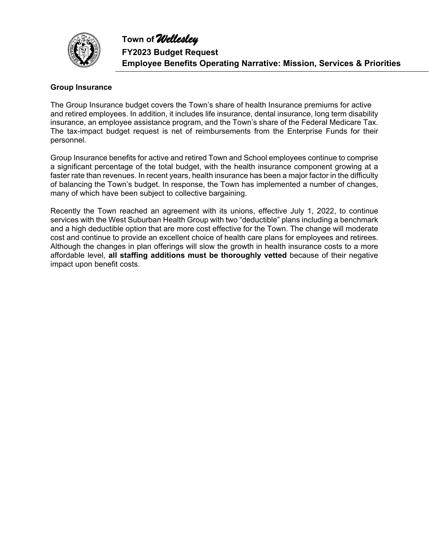

#### **Group Insurance**

The Group Insurance budget covers the Town's share of health Insurance premiums for active and retired employees. In addition, it includes life insurance, dental insurance, long term disability insurance, an employee assistance program, and the Town's share of the Federal Medicare Tax. The tax-impact budget request is net of reimbursements from the Enterprise Funds for their personnel.

Group Insurance benefits for active and retired Town and School employees continue to comprise a significant percentage of the total budget, with the health insurance component growing at a faster rate than revenues. In recent years, health insurance has been a major factor in the difficulty of balancing the Town's budget. In response, the Town has implemented a number of changes, many of which have been subject to collective bargaining.

Recently the Town reached an agreement with its unions, effective July 1, 2022, to continue services with the West Suburban Health Group with two "deductible" plans including a benchmark and a high deductible option that are more cost effective for the Town. The change will moderate cost and continue to provide an excellent choice of health care plans for employees and retirees. Although the changes in plan offerings will slow the growth in health insurance costs to a more affordable level, **all staffing additions must be thoroughly vetted** because of their negative impact upon benefit costs.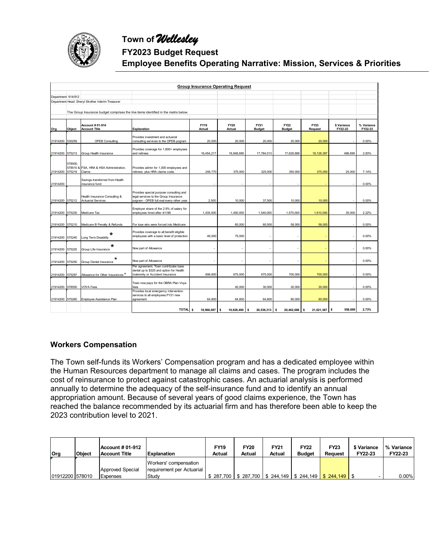

## **FY2023 Budget Request**

**Employee Benefits Operating Narrative: Mission, Services & Priorities**

|                     | <b>Group Insurance Operating Request</b> |                                                            |                                                                                                                               |                       |                       |                              |                              |                        |                          |                       |  |  |  |
|---------------------|------------------------------------------|------------------------------------------------------------|-------------------------------------------------------------------------------------------------------------------------------|-----------------------|-----------------------|------------------------------|------------------------------|------------------------|--------------------------|-----------------------|--|--|--|
| Department: 914/912 |                                          |                                                            |                                                                                                                               |                       |                       |                              |                              |                        |                          |                       |  |  |  |
|                     |                                          | Department Head: Sheryl Strother Interim Treasurer         |                                                                                                                               |                       |                       |                              |                              |                        |                          |                       |  |  |  |
|                     |                                          |                                                            |                                                                                                                               |                       |                       |                              |                              |                        |                          |                       |  |  |  |
|                     |                                          |                                                            | The Group Insurance budget comprises the line items identified in the matrix below.                                           |                       |                       |                              |                              |                        |                          |                       |  |  |  |
| Org                 | Object                                   | Account # 01-914<br><b>Account Title</b>                   | <b>Explanation</b>                                                                                                            | <b>FY19</b><br>Actual | <b>FY20</b><br>Actual | <b>FY21</b><br><b>Budget</b> | <b>FY22</b><br><b>Budget</b> | <b>FY23</b><br>Request | \$ Variance<br>FY22-23   | % Variance<br>FY22-23 |  |  |  |
| 21914200            | 530259                                   | <b>OPEB Consulting</b>                                     | Provides investment and actuarial<br>consulting services to the OPEB pogram                                                   | 20,000                | 20,000                | 20,000                       | 20,000                       | 20,000                 |                          | 0.00%                 |  |  |  |
| 21914200            | 575213                                   | Group Health Insurance                                     | Provides coverage for 1,800+ employees<br>and retirees                                                                        | 16,454,217            | 16,848,690            | 17,784,013                   | 17,629,688                   | 18, 128, 387           | 498.699                  | 2.83%                 |  |  |  |
| 21914200            | 578500.<br>575219                        | 578510 & FSA, HRA & HSA Administration,<br>Claims          | Provides admin for 1,000 employees and<br>retirees, plus HRA claims costs.                                                    | 246,770               | 375,000               | 325,000                      | 350,000                      | 375,000                | 25,000                   | 7.14%                 |  |  |  |
| 21914200            |                                          | Savings transferred from Health<br>insurance fund          |                                                                                                                               |                       |                       |                              |                              |                        | $\overline{\phantom{a}}$ | 0.00%                 |  |  |  |
| 21914200 575212     |                                          | Health Insurance Consulting &<br><b>Actuarial Services</b> | Provides special purpose consulting and<br>legal services to the Group Insurance<br>pogram - OPEB full eval every-other year. | 2,500                 | 10,000                | 37,500                       | 10,000                       | 10,000                 | ×                        | 0.00%                 |  |  |  |
| 21914200            | 575230                                   | Medicare Tax                                               | Employer share of the 2.9% of salary for<br>employees hired after 4/1/86                                                      | 1,435,000             | 1,450,000             | 1,540,000                    | 1,575,000                    | 1,610,000              | 35,000                   | 2.22%                 |  |  |  |
| 21914200            | 575210                                   | Medicare B Penalty & Refunds                               | For tose who were forced into Medicare                                                                                        |                       | 65,000                | 60,000                       | 58,000                       | 58,000                 |                          | 0.00%                 |  |  |  |
| 21914200            | 575240                                   | *<br>Long Term Disability                                  | Provides coverage to all benefit eligible<br>employees with a basic level of protection                                       | 46,000                | 75,000                |                              |                              | ٠                      |                          | 0.00%                 |  |  |  |
| 21914200            | 575220                                   | *<br>Group Life Insurance                                  | Now part of Allowance                                                                                                         |                       |                       |                              |                              | ٠                      |                          | 0.00%                 |  |  |  |
| 21914200            | 575250                                   | *<br>Group Dental Insurance                                | Now part of Allowance                                                                                                         |                       |                       |                              |                              | ٠                      |                          | 0.00%                 |  |  |  |
| 21914200            | 575297                                   | Allowance for Other Insurances *                           | Per agreement, Town contributes base<br>dental up to \$325 and option for Health<br>Indemnity or Accident Insurance           | 698.800               | 675.000               | 675,000                      | 700.000                      | 700,000                | ÷.                       | 0.00%                 |  |  |  |
| 21914200            | 578550                                   | <b>VOYA Fees</b>                                           | Town now pays for the OBRA Plan Voya<br>fees                                                                                  |                       | 45,000                | 30,000                       | 30,000                       | 30,000                 |                          | 0.00%                 |  |  |  |
| 21914200            | 575260                                   | Employee Assistance Plan                                   | Provides local emergency intervention<br>services to all employees.FY21 new<br>agreement                                      | 64,800                | 64,800                | 64,800                       | 90,000                       | 90,000                 |                          | 0.00%                 |  |  |  |
|                     |                                          |                                                            | TOTAL <sub>\$</sub>                                                                                                           | 18,968,087            | 19.628.490<br>s       | 20,536,313<br><b>s</b>       | 20,462,688<br>s              | 21,021,387 \$<br>s     | 558,699                  | 2.73%                 |  |  |  |

### **Workers Compensation**

The Town self-funds its Workers' Compensation program and has a dedicated employee within the Human Resources department to manage all claims and cases. The program includes the cost of reinsurance to protect against catastrophic cases. An actuarial analysis is performed annually to determine the adequacy of the self-insurance fund and to identify an annual appropriation amount. Because of several years of good claims experience, the Town has reached the balance recommended by its actuarial firm and has therefore been able to keep the 2023 contribution level to 2021.

| <b>Org</b>      | <b>Object</b> | Account # 01-912<br><b>Account Title</b> | <b>Explanation</b>                                 | <b>FY19</b><br><b>Actual</b> | <b>FY20</b><br>Actual | <b>FY21</b><br>Actual                                      | <b>FY22</b><br><b>Budget</b> | <b>FY23</b><br><b>Request</b> | \$ Variance<br>FY22-23 | l % Variance I<br>FY22-23 |
|-----------------|---------------|------------------------------------------|----------------------------------------------------|------------------------------|-----------------------|------------------------------------------------------------|------------------------------|-------------------------------|------------------------|---------------------------|
|                 |               | Approved Special                         | Workers' compensation<br>requirement per Actuarial |                              |                       |                                                            |                              |                               |                        |                           |
| 01912200 578010 |               | Expenses                                 | Study                                              |                              |                       | $$287,700$   \$287,700   \$244,149   \$244,149   \$244,149 |                              |                               |                        | $0.00\%$                  |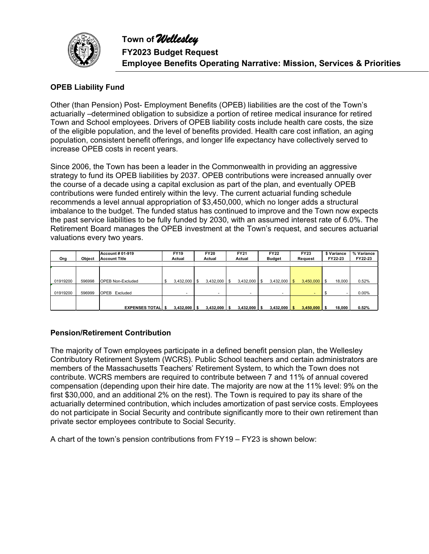

## **OPEB Liability Fund**

Other (than Pension) Post- Employment Benefits (OPEB) liabilities are the cost of the Town's actuarially –determined obligation to subsidize a portion of retiree medical insurance for retired Town and School employees. Drivers of OPEB liability costs include health care costs, the size of the eligible population, and the level of benefits provided. Health care cost inflation, an aging population, consistent benefit offerings, and longer life expectancy have collectively served to increase OPEB costs in recent years.

Since 2006, the Town has been a leader in the Commonwealth in providing an aggressive strategy to fund its OPEB liabilities by 2037. OPEB contributions were increased annually over the course of a decade using a capital exclusion as part of the plan, and eventually OPEB contributions were funded entirely within the levy. The current actuarial funding schedule recommends a level annual appropriation of \$3,450,000, which no longer adds a structural imbalance to the budget. The funded status has continued to improve and the Town now expects the past service liabilities to be fully funded by 2030, with an assumed interest rate of 6.0%. The Retirement Board manages the OPEB investment at the Town's request, and secures actuarial valuations every two years.

|          |               | <b>Account # 01-919</b>  | <b>FY19</b>   |           | <b>FY20</b>    |    | <b>FY21</b> |     | <b>FY22</b>   |      | <b>FY23</b> | \$ Variance  | % Variance |
|----------|---------------|--------------------------|---------------|-----------|----------------|----|-------------|-----|---------------|------|-------------|--------------|------------|
| Org      | <b>Object</b> | <b>Account Title</b>     | Actual        |           | Actual         |    | Actual      |     | <b>Budget</b> |      | Request     | FY22-23      | FY22-23    |
|          |               |                          |               |           |                |    |             |     |               |      |             |              |            |
|          |               |                          |               |           |                |    |             |     |               |      |             |              |            |
|          |               |                          |               |           |                |    |             |     |               |      |             |              |            |
| 01919200 | 596998        | <b>OPEB Non-Excluded</b> | 3,432,000     | <b>IS</b> | 3,432,000      | -S | 3,432,000   | \$. | 3,432,000     | l \$ | 3,450,000   | \$<br>18,000 | 0.52%      |
|          |               |                          |               |           |                |    |             |     |               |      |             |              |            |
| 01919200 | 596999        | Excluded<br><b>OPEB</b>  |               |           |                |    |             |     |               |      |             |              | $0.00\%$   |
|          |               |                          |               |           |                |    |             |     |               |      |             |              |            |
|          |               |                          |               |           |                |    |             |     |               |      |             |              |            |
|          |               | <b>EXPENSES TOTALIS</b>  | $3.432.000$ S |           | $3.432.000$ \$ |    | 3.432.000   |     | 3.432.000     |      | 3.450.000   | 18.000       | 0.52%      |

### **Pension/Retirement Contribution**

The majority of Town employees participate in a defined benefit pension plan, the Wellesley Contributory Retirement System (WCRS). Public School teachers and certain administrators are members of the Massachusetts Teachers' Retirement System, to which the Town does not contribute. WCRS members are required to contribute between 7 and 11% of annual covered compensation (depending upon their hire date. The majority are now at the 11% level: 9% on the first \$30,000, and an additional 2% on the rest). The Town is required to pay its share of the actuarially determined contribution, which includes amortization of past service costs. Employees do not participate in Social Security and contribute significantly more to their own retirement than private sector employees contribute to Social Security.

A chart of the town's pension contributions from FY19 – FY23 is shown below: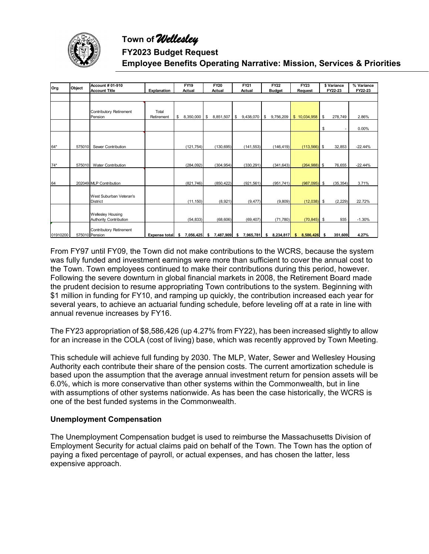

## **FY2023 Budget Request**

## **Employee Benefits Operating Narrative: Mission, Services & Priorities**

|            |        | <b>Account # 01-910</b>   |                      | <b>FY19</b>       | <b>FY20</b>     | <b>FY21</b>     | <b>FY22</b>     | <b>FY23</b>     | \$ Variance     | % Variance |
|------------|--------|---------------------------|----------------------|-------------------|-----------------|-----------------|-----------------|-----------------|-----------------|------------|
| <b>Org</b> | Object | <b>Account Title</b>      | Explanation          | Actual            | Actual          | Actual          | <b>Budget</b>   | <b>Request</b>  | FY22-23         | FY22-23    |
|            |        |                           |                      |                   |                 |                 |                 |                 |                 |            |
|            |        |                           |                      |                   |                 |                 |                 |                 |                 |            |
|            |        |                           |                      |                   |                 |                 |                 |                 |                 |            |
|            |        | Contributory Retirement   | Total                |                   |                 |                 |                 |                 |                 |            |
|            |        | Pension                   | Retirement           | 8.350.000<br>\$   | 8.851.507<br>\$ | \$9,438,070     | \$9,756,209     | \$10,034,958    | 278,749<br>\$   | 2.86%      |
|            |        |                           |                      |                   |                 |                 |                 |                 |                 |            |
|            |        |                           |                      |                   |                 |                 |                 |                 | \$              | 0.00%      |
|            |        |                           |                      |                   |                 |                 |                 |                 |                 |            |
|            |        |                           |                      |                   |                 |                 |                 |                 |                 |            |
| 64*        | 575010 | Sewer Contribution        |                      | (121, 754)        | (130, 695)      | (141, 553)      | (146, 419)      | $(113, 566)$ \$ | 32,853          | $-22.44%$  |
|            |        |                           |                      |                   |                 |                 |                 |                 |                 |            |
|            |        |                           |                      |                   |                 |                 |                 |                 |                 |            |
| 74*        | 575010 | <b>Water Contribution</b> |                      | (284, 092)        | (304, 954)      | (330, 291)      | (341, 643)      | $(264,988)$ \$  | 76,655          | $-22.44%$  |
|            |        |                           |                      |                   |                 |                 |                 |                 |                 |            |
|            |        |                           |                      |                   |                 |                 |                 |                 |                 |            |
| 64         |        | 202049 MLP Contribution   |                      | (821,746)         | (850, 422)      | (921, 561)      | (951, 741)      | (987,095)       | (35, 354)<br>\$ | 3.71%      |
|            |        |                           |                      |                   |                 |                 |                 |                 |                 |            |
|            |        | West Suburban Veteran's   |                      |                   |                 |                 |                 |                 |                 |            |
|            |        | <b>District</b>           |                      | (11, 150)         | (8,921)         | (9, 477)        | (9,809)         | (12,038)        | (2,229)<br>- \$ | 22.72%     |
|            |        |                           |                      |                   |                 |                 |                 |                 |                 |            |
|            |        | <b>Wellesley Housing</b>  |                      |                   |                 |                 |                 |                 |                 |            |
|            |        | Authority Contribution    |                      | (54, 833)         | (68, 606)       | (69, 407)       | (71,780)        | (70, 845)       | \$<br>935       | $-1.30%$   |
|            |        |                           |                      |                   |                 |                 |                 |                 |                 |            |
|            |        | Contributory Retirement   |                      |                   |                 |                 |                 |                 |                 |            |
| 01910200   |        | 575010 Pension            | <b>Expense total</b> | 7,056,425<br>- \$ | 7,487,909<br>s. | 7,965,781<br>\$ | 8,234,817<br>\$ | 8,586,426<br>s  | 351,609<br>-S   | 4.27%      |

From FY97 until FY09, the Town did not make contributions to the WCRS, because the system was fully funded and investment earnings were more than sufficient to cover the annual cost to the Town. Town employees continued to make their contributions during this period, however. Following the severe downturn in global financial markets in 2008, the Retirement Board made the prudent decision to resume appropriating Town contributions to the system. Beginning with \$1 million in funding for FY10, and ramping up quickly, the contribution increased each year for several years, to achieve an actuarial funding schedule, before leveling off at a rate in line with annual revenue increases by FY16.

The FY23 appropriation of \$8,586,426 (up 4.27% from FY22), has been increased slightly to allow for an increase in the COLA (cost of living) base, which was recently approved by Town Meeting.

This schedule will achieve full funding by 2030. The MLP, Water, Sewer and Wellesley Housing Authority each contribute their share of the pension costs. The current amortization schedule is based upon the assumption that the average annual investment return for pension assets will be 6.0%, which is more conservative than other systems within the Commonwealth, but in line with assumptions of other systems nationwide. As has been the case historically, the WCRS is one of the best funded systems in the Commonwealth.

### **Unemployment Compensation**

The Unemployment Compensation budget is used to reimburse the Massachusetts Division of Employment Security for actual claims paid on behalf of the Town. The Town has the option of paying a fixed percentage of payroll, or actual expenses, and has chosen the latter, less expensive approach.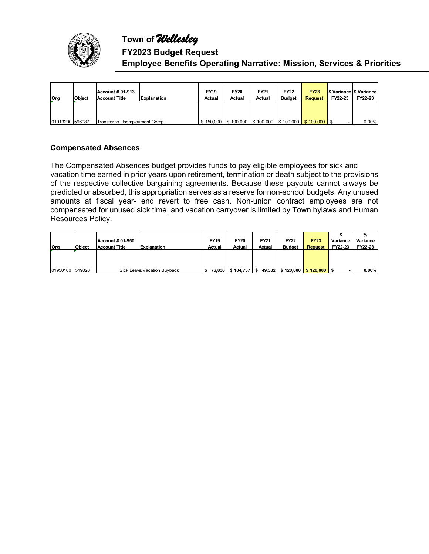

## **FY2023 Budget Request Employee Benefits Operating Narrative: Mission, Services & Priorities**

| <b>l</b> Org    | <b>Object</b> | <b>Account # 01-913</b><br><b>Account Title</b> | <b>Explanation</b> | <b>FY19</b><br>Actual | <b>FY20</b><br>Actual | FY21<br>Actual | <b>FY22</b><br><b>Budget</b>                                    | <b>FY23</b><br><b>Request</b> | FY22-23 | S Variance S Variance<br>FY22-23 |
|-----------------|---------------|-------------------------------------------------|--------------------|-----------------------|-----------------------|----------------|-----------------------------------------------------------------|-------------------------------|---------|----------------------------------|
|                 |               |                                                 |                    |                       |                       |                |                                                                 |                               |         |                                  |
| 01913200 596087 |               | Transfer to Unemployment Comp                   |                    |                       |                       |                | $$150,000$   \$100,000   \$100,000   \$100,000   \$100,000   \$ |                               |         | 0.00%                            |

## **Compensated Absences**

The Compensated Absences budget provides funds to pay eligible employees for sick and vacation time earned in prior years upon retirement, termination or death subject to the provisions of the respective collective bargaining agreements. Because these payouts cannot always be predicted or absorbed, this appropriation serves as a reserve for non-school budgets. Any unused amounts at fiscal year- end revert to free cash. Non-union contract employees are not compensated for unused sick time, and vacation carryover is limited by Town bylaws and Human Resources Policy.

|                 |               |                  |                             |             |                         |             |               |                                     |          | %        |
|-----------------|---------------|------------------|-----------------------------|-------------|-------------------------|-------------|---------------|-------------------------------------|----------|----------|
|                 |               | Account # 01-950 |                             | <b>FY19</b> | <b>FY20</b>             | <b>FY21</b> | <b>FY22</b>   | <b>FY23</b>                         | Variance | Variance |
| lOrg            | <b>Object</b> | Account Title    | <b>Explanation</b>          | Actual      | Actual                  | Actual      | <b>Budget</b> | <b>Request</b>                      | FY22-23  | FY22-23  |
|                 |               |                  |                             |             |                         |             |               |                                     |          |          |
|                 |               |                  |                             |             |                         |             |               |                                     |          |          |
|                 |               |                  |                             |             |                         |             |               |                                     |          |          |
| 01950100 519020 |               |                  | Sick Leave/Vacation Buyback |             | 76,830   \$104,737   \$ |             |               | 49,382   \$120,000   \$120,000   \$ |          | $0.00\%$ |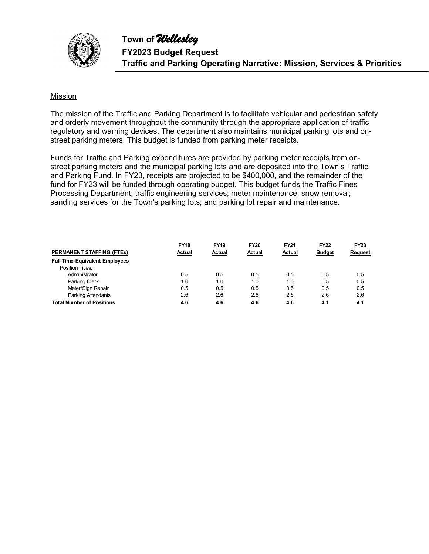

### Mission

The mission of the Traffic and Parking Department is to facilitate vehicular and pedestrian safety and orderly movement throughout the community through the appropriate application of traffic regulatory and warning devices. The department also maintains municipal parking lots and onstreet parking meters. This budget is funded from parking meter receipts.

Funds for Traffic and Parking expenditures are provided by parking meter receipts from onstreet parking meters and the municipal parking lots and are deposited into the Town's Traffic and Parking Fund. In FY23, receipts are projected to be \$400,000, and the remainder of the fund for FY23 will be funded through operating budget. This budget funds the Traffic Fines Processing Department; traffic engineering services; meter maintenance; snow removal; sanding services for the Town's parking lots; and parking lot repair and maintenance.

|                                       | <b>FY18</b> | <b>FY19</b> | <b>FY20</b> | <b>FY21</b> | <b>FY22</b>   | <b>FY23</b> |
|---------------------------------------|-------------|-------------|-------------|-------------|---------------|-------------|
| <b>PERMANENT STAFFING (FTES)</b>      | Actual      | Actual      | Actual      | Actual      | <b>Budget</b> | Request     |
| <b>Full Time-Equivalent Employees</b> |             |             |             |             |               |             |
| Position Titles:                      |             |             |             |             |               |             |
| Administrator                         | 0.5         | 0.5         | 0.5         | 0.5         | 0.5           | 0.5         |
| Parking Clerk                         | 1.0         | 1.0         | 1.0         | 1.0         | 0.5           | 0.5         |
| Meter/Sign Repair                     | 0.5         | 0.5         | 0.5         | 0.5         | 0.5           | 0.5         |
| Parking Attendants                    | 2.6         | 2.6         | 2.6         | 2.6         | 2.6           | 2.6         |
| <b>Total Number of Positions</b>      | 4.6         | 4.6         | 4.6         | 4.6         | 4.1           | 4.1         |